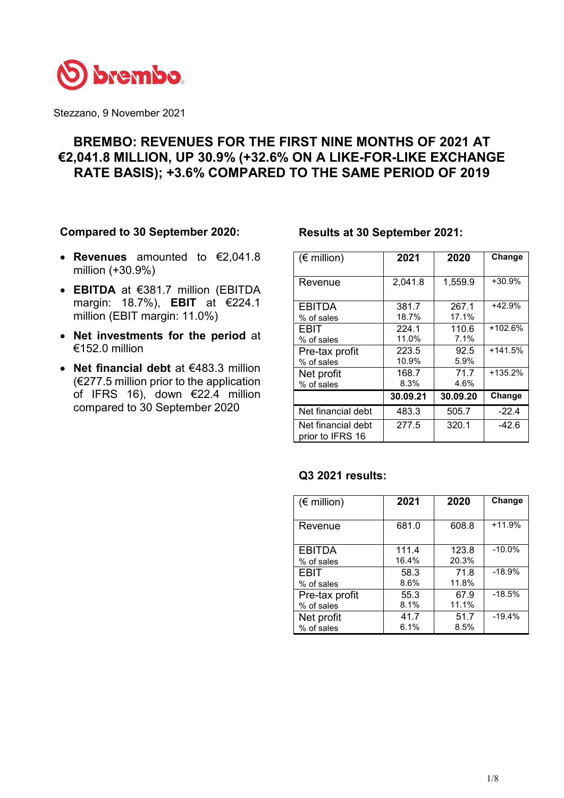

Stezzano, 9 November 2021

# **BREMBO: REVENUES FOR THE FIRST NINE MONTHS OF 2021 AT €2,041.8 MILLION, UP 30.9% (+32.6% ON A LIKE-FOR-LIKE EXCHANGE RATE BASIS); +3.6% COMPARED TO THE SAME PERIOD OF 2019**

## **Compared to 30 September 2020:**

- **Revenues** amounted to €2,041.8 million (+30.9%)
- **EBITDA** at €381.7 million (EBITDA margin: 18.7%), **EBIT** at €224.1 million (EBIT margin: 11.0%)
- **Net investments for the period** at €152.0 million
- **Net financial debt** at €483.3 million  $(\epsilon$ 277.5 million prior to the application of IFRS 16), down €22.4 million compared to 30 September 2020

## **Results at 30 September 2021:**

| $(\epsilon$ million)                   | 2021           | 2020           | Change    |
|----------------------------------------|----------------|----------------|-----------|
| Revenue                                | 2,041.8        | 1,559.9        | $+30.9%$  |
| <b>EBITDA</b><br>% of sales            | 381.7<br>18.7% | 267.1<br>17.1% | $+42.9%$  |
| EBIT<br>% of sales                     | 224.1<br>11.0% | 110.6<br>7.1%  | $+102.6%$ |
| Pre-tax profit<br>% of sales           | 223.5<br>10.9% | 92.5<br>5.9%   | $+141.5%$ |
| Net profit<br>% of sales               | 168.7<br>8.3%  | 71.7<br>4.6%   | $+135.2%$ |
|                                        | 30.09.21       | 30.09.20       | Change    |
| Net financial debt                     | 483.3          | 505.7          | $-22.4$   |
| Net financial debt<br>prior to IFRS 16 | 277.5          | 320.1          | -42.6     |

# **Q3 2021 results:**

| $(\epsilon$ million) | 2021  | 2020  | Change   |
|----------------------|-------|-------|----------|
| Revenue              | 681.0 | 608.8 | $+11.9%$ |
| <b>EBITDA</b>        | 111.4 | 123.8 | $-10.0%$ |
| % of sales           | 16.4% | 20.3% |          |
| EBIT                 | 58.3  | 71.8  | $-18.9%$ |
| % of sales           | 8.6%  | 11.8% |          |
| Pre-tax profit       | 55.3  | 67.9  | $-18.5%$ |
| % of sales           | 8.1%  | 11.1% |          |
| Net profit           | 41.7  | 51.7  | $-19.4%$ |
| % of sales           | 6.1%  | 8.5%  |          |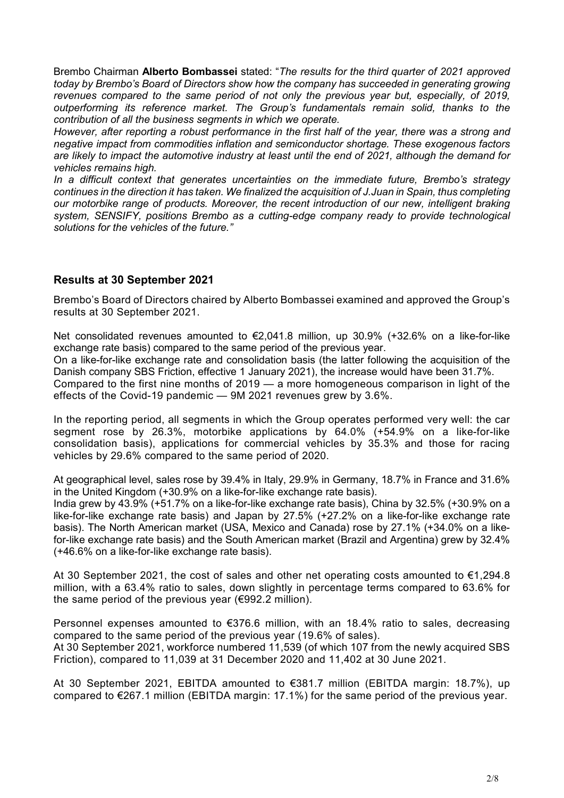Brembo Chairman **Alberto Bombassei** stated: "*The results for the third quarter of 2021 approved today by Brembo's Board of Directors show how the company has succeeded in generating growing*  revenues compared to the same period of not only the previous year but, especially, of 2019, *outperforming its reference market. The Group's fundamentals remain solid, thanks to the contribution of all the business segments in which we operate.* 

*However, after reporting a robust performance in the first half of the year, there was a strong and negative impact from commodities inflation and semiconductor shortage. These exogenous factors are likely to impact the automotive industry at least until the end of 2021, although the demand for vehicles remains high.* 

*In a difficult context that generates uncertainties on the immediate future, Brembo's strategy continues in the direction it has taken. We finalized the acquisition of J.Juan in Spain, thus completing our motorbike range of products. Moreover, the recent introduction of our new, intelligent braking system, SENSIFY, positions Brembo as a cutting-edge company ready to provide technological solutions for the vehicles of the future."* 

# **Results at 30 September 2021**

Brembo's Board of Directors chaired by Alberto Bombassei examined and approved the Group's results at 30 September 2021.

Net consolidated revenues amounted to €2,041.8 million, up 30.9% (+32.6% on a like-for-like exchange rate basis) compared to the same period of the previous year.

On a like-for-like exchange rate and consolidation basis (the latter following the acquisition of the Danish company SBS Friction, effective 1 January 2021), the increase would have been 31.7%. Compared to the first nine months of 2019 — a more homogeneous comparison in light of the effects of the Covid-19 pandemic — 9M 2021 revenues grew by 3.6%.

In the reporting period, all segments in which the Group operates performed very well: the car segment rose by 26.3%, motorbike applications by 64.0% (+54.9% on a like-for-like consolidation basis), applications for commercial vehicles by 35.3% and those for racing vehicles by 29.6% compared to the same period of 2020.

At geographical level, sales rose by 39.4% in Italy, 29.9% in Germany, 18.7% in France and 31.6% in the United Kingdom (+30.9% on a like-for-like exchange rate basis).

India grew by 43.9% (+51.7% on a like-for-like exchange rate basis), China by 32.5% (+30.9% on a like-for-like exchange rate basis) and Japan by 27.5% (+27.2% on a like-for-like exchange rate basis). The North American market (USA, Mexico and Canada) rose by 27.1% (+34.0% on a likefor-like exchange rate basis) and the South American market (Brazil and Argentina) grew by 32.4% (+46.6% on a like-for-like exchange rate basis).

At 30 September 2021, the cost of sales and other net operating costs amounted to  $\epsilon$ 1,294.8 million, with a 63.4% ratio to sales, down slightly in percentage terms compared to 63.6% for the same period of the previous year (€992.2 million).

Personnel expenses amounted to €376.6 million, with an 18.4% ratio to sales, decreasing compared to the same period of the previous year (19.6% of sales).

At 30 September 2021, workforce numbered 11,539 (of which 107 from the newly acquired SBS Friction), compared to 11,039 at 31 December 2020 and 11,402 at 30 June 2021.

At 30 September 2021, EBITDA amounted to €381.7 million (EBITDA margin: 18.7%), up compared to €267.1 million (EBITDA margin: 17.1%) for the same period of the previous year.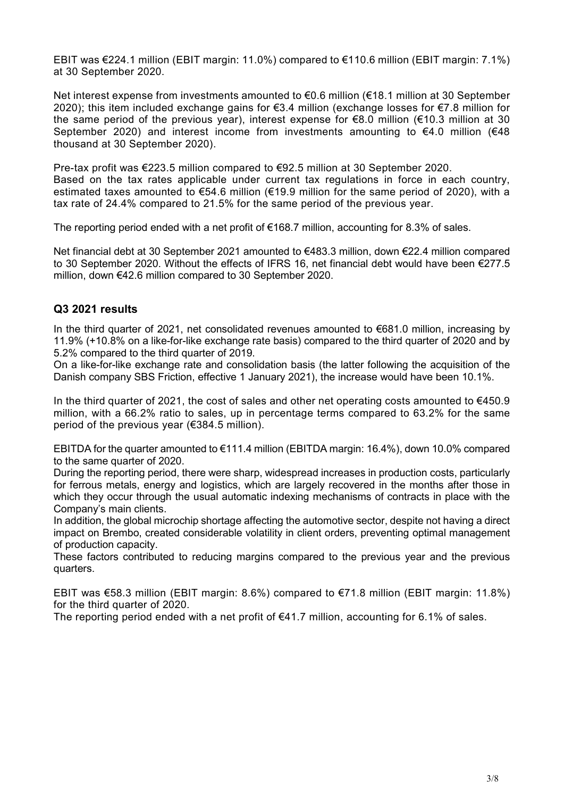EBIT was €224.1 million (EBIT margin: 11.0%) compared to €110.6 million (EBIT margin: 7.1%) at 30 September 2020.

Net interest expense from investments amounted to €0.6 million (€18.1 million at 30 September 2020); this item included exchange gains for  $\epsilon$ 3.4 million (exchange losses for  $\epsilon$ 7.8 million for the same period of the previous year), interest expense for €8.0 million (€10.3 million at 30 September 2020) and interest income from investments amounting to  $\epsilon$ 4.0 million ( $\epsilon$ 48 thousand at 30 September 2020).

Pre-tax profit was €223.5 million compared to €92.5 million at 30 September 2020. Based on the tax rates applicable under current tax regulations in force in each country, estimated taxes amounted to €54.6 million (€19.9 million for the same period of 2020), with a tax rate of 24.4% compared to 21.5% for the same period of the previous year.

The reporting period ended with a net profit of  $\epsilon$ 168.7 million, accounting for 8.3% of sales.

Net financial debt at 30 September 2021 amounted to €483.3 million, down €22.4 million compared to 30 September 2020. Without the effects of IFRS 16, net financial debt would have been €277.5 million, down €42.6 million compared to 30 September 2020.

# **Q3 2021 results**

In the third quarter of 2021, net consolidated revenues amounted to €681.0 million, increasing by 11.9% (+10.8% on a like-for-like exchange rate basis) compared to the third quarter of 2020 and by 5.2% compared to the third quarter of 2019.

On a like-for-like exchange rate and consolidation basis (the latter following the acquisition of the Danish company SBS Friction, effective 1 January 2021), the increase would have been 10.1%.

In the third quarter of 2021, the cost of sales and other net operating costs amounted to  $€450.9$ million, with a 66.2% ratio to sales, up in percentage terms compared to 63.2% for the same period of the previous year (€384.5 million).

EBITDA for the quarter amounted to €111.4 million (EBITDA margin: 16.4%), down 10.0% compared to the same quarter of 2020.

During the reporting period, there were sharp, widespread increases in production costs, particularly for ferrous metals, energy and logistics, which are largely recovered in the months after those in which they occur through the usual automatic indexing mechanisms of contracts in place with the Company's main clients.

In addition, the global microchip shortage affecting the automotive sector, despite not having a direct impact on Brembo, created considerable volatility in client orders, preventing optimal management of production capacity.

These factors contributed to reducing margins compared to the previous year and the previous quarters.

EBIT was €58.3 million (EBIT margin: 8.6%) compared to €71.8 million (EBIT margin: 11.8%) for the third quarter of 2020.

The reporting period ended with a net profit of  $E$ 41.7 million, accounting for 6.1% of sales.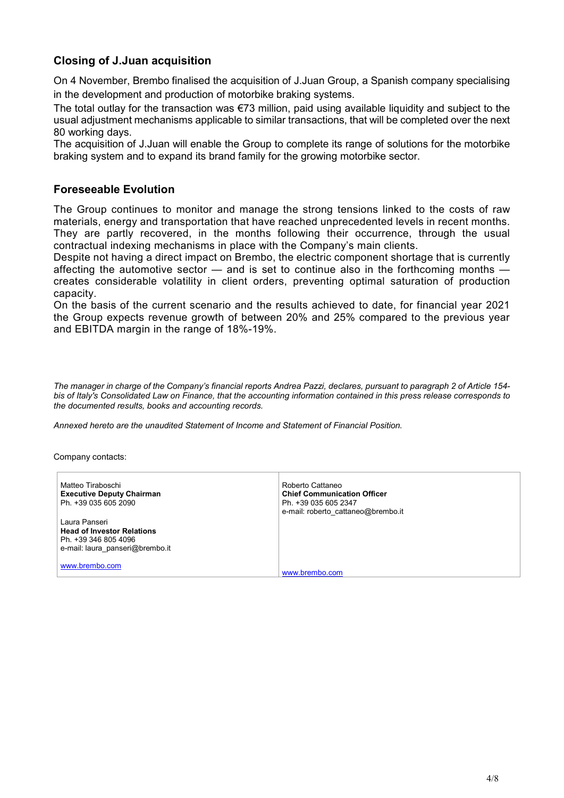# **Closing of J.Juan acquisition**

On 4 November, Brembo finalised the acquisition of J.Juan Group, a Spanish company specialising in the development and production of motorbike braking systems.

The total outlay for the transaction was €73 million, paid using available liquidity and subject to the usual adjustment mechanisms applicable to similar transactions, that will be completed over the next 80 working days.

The acquisition of J.Juan will enable the Group to complete its range of solutions for the motorbike braking system and to expand its brand family for the growing motorbike sector.

# **Foreseeable Evolution**

The Group continues to monitor and manage the strong tensions linked to the costs of raw materials, energy and transportation that have reached unprecedented levels in recent months. They are partly recovered, in the months following their occurrence, through the usual contractual indexing mechanisms in place with the Company's main clients.

Despite not having a direct impact on Brembo, the electric component shortage that is currently affecting the automotive sector  $-$  and is set to continue also in the forthcoming months  $$ creates considerable volatility in client orders, preventing optimal saturation of production capacity.

On the basis of the current scenario and the results achieved to date, for financial year 2021 the Group expects revenue growth of between 20% and 25% compared to the previous year and EBITDA margin in the range of 18%-19%.

*The manager in charge of the Company's financial reports Andrea Pazzi, declares, pursuant to paragraph 2 of Article 154 bis of Italy's Consolidated Law on Finance, that the accounting information contained in this press release corresponds to the documented results, books and accounting records.* 

*Annexed hereto are the unaudited Statement of Income and Statement of Financial Position.* 

Company contacts:

| Matteo Tiraboschi<br><b>Executive Deputy Chairman</b><br>Ph. +39 035 605 2090                                 | Roberto Cattaneo<br><b>Chief Communication Officer</b><br>Ph. +39 035 605 2347<br>e-mail: roberto cattaneo@brembo.it |
|---------------------------------------------------------------------------------------------------------------|----------------------------------------------------------------------------------------------------------------------|
| Laura Panseri<br><b>Head of Investor Relations</b><br>Ph. +39 346 805 4096<br>e-mail: laura panseri@brembo.it |                                                                                                                      |
| www.brembo.com                                                                                                | www.brembo.com                                                                                                       |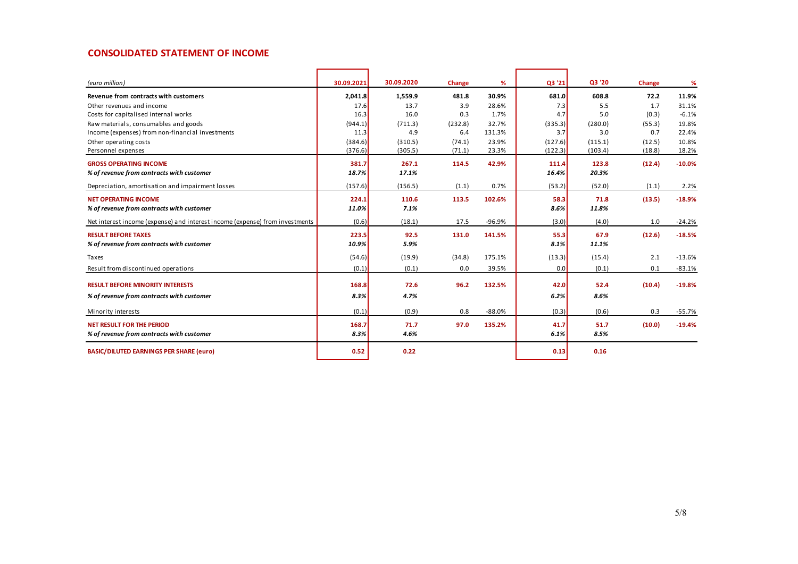### **CONSOLIDATED STATEMENT OF INCOME**

| (euro million)                                                               | 30.09.2021 | 30.09.2020 | Change  | %        | Q3 '21  | Q3 '20  | Change | %        |
|------------------------------------------------------------------------------|------------|------------|---------|----------|---------|---------|--------|----------|
| Revenue from contracts with customers                                        | 2.041.8    | 1,559.9    | 481.8   | 30.9%    | 681.0   | 608.8   | 72.2   | 11.9%    |
| Other revenues and income                                                    | 17.6       | 13.7       | 3.9     | 28.6%    | 7.3     | 5.5     | 1.7    | 31.1%    |
| Costs for capitalised internal works                                         | 16.3       | 16.0       | 0.3     | 1.7%     | 4.7     | 5.0     | (0.3)  | $-6.1%$  |
| Raw materials, consumables and goods                                         | (944.1)    | (711.3)    | (232.8) | 32.7%    | (335.3) | (280.0) | (55.3) | 19.8%    |
| Income (expenses) from non-financial investments                             | 11.3       | 4.9        | 6.4     | 131.3%   | 3.7     | 3.0     | 0.7    | 22.4%    |
| Other operating costs                                                        | (384.6)    | (310.5)    | (74.1)  | 23.9%    | (127.6) | (115.1) | (12.5) | 10.8%    |
| Personnel expenses                                                           | (376.6)    | (305.5)    | (71.1)  | 23.3%    | (122.3) | (103.4) | (18.8) | 18.2%    |
| <b>GROSS OPERATING INCOME</b>                                                | 381.7      | 267.1      | 114.5   | 42.9%    | 111.4   | 123.8   | (12.4) | $-10.0%$ |
| % of revenue from contracts with customer                                    | 18.7%      | 17.1%      |         |          | 16.4%   | 20.3%   |        |          |
| Depreciation, amortisation and impairment losses                             | (157.6)    | (156.5)    | (1.1)   | 0.7%     | (53.2)  | (52.0)  | (1.1)  | 2.2%     |
| <b>NET OPERATING INCOME</b>                                                  | 224.1      | 110.6      | 113.5   | 102.6%   | 58.3    | 71.8    | (13.5) | $-18.9%$ |
| % of revenue from contracts with customer                                    | 11.0%      | 7.1%       |         |          | 8.6%    | 11.8%   |        |          |
| Net interest income (expense) and interest income (expense) from investments | (0.6)      | (18.1)     | 17.5    | $-96.9%$ | (3.0)   | (4.0)   | 1.0    | $-24.2%$ |
| <b>RESULT BEFORE TAXES</b>                                                   | 223.5      | 92.5       | 131.0   | 141.5%   | 55.3    | 67.9    | (12.6) | $-18.5%$ |
| % of revenue from contracts with customer                                    | 10.9%      | 5.9%       |         |          | 8.1%    | 11.1%   |        |          |
| Taxes                                                                        | (54.6)     | (19.9)     | (34.8)  | 175.1%   | (13.3)  | (15.4)  | 2.1    | $-13.6%$ |
| Result from discontinued operations                                          | (0.1)      | (0.1)      | 0.0     | 39.5%    | 0.0     | (0.1)   | 0.1    | $-83.1%$ |
| <b>RESULT BEFORE MINORITY INTERESTS</b>                                      | 168.8      | 72.6       | 96.2    | 132.5%   | 42.0    | 52.4    | (10.4) | $-19.8%$ |
| % of revenue from contracts with customer                                    | 8.3%       | 4.7%       |         |          | 6.2%    | 8.6%    |        |          |
|                                                                              |            |            |         |          |         |         |        |          |
| Minority interests                                                           | (0.1)      | (0.9)      | 0.8     | $-88.0%$ | (0.3)   | (0.6)   | 0.3    | $-55.7%$ |
| <b>NET RESULT FOR THE PERIOD</b>                                             | 168.7      | 71.7       | 97.0    | 135.2%   | 41.7    | 51.7    | (10.0) | $-19.4%$ |
| % of revenue from contracts with customer                                    | 8.3%       | 4.6%       |         |          | 6.1%    | 8.5%    |        |          |
| <b>BASIC/DILUTED EARNINGS PER SHARE (euro)</b>                               | 0.52       | 0.22       |         |          | 0.13    | 0.16    |        |          |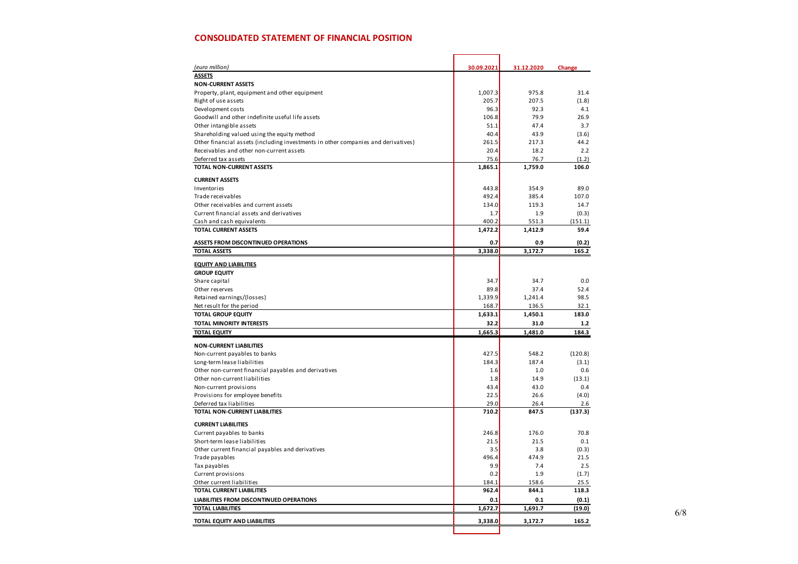### **CONSOLIDATED STATEMENT OF FINANCIAL POSITION**

| (euro million)                                                                    | 30.09.2021 | 31.12.2020 | Change  |
|-----------------------------------------------------------------------------------|------------|------------|---------|
| <b>ASSETS</b>                                                                     |            |            |         |
| <b>NON-CURRENT ASSETS</b>                                                         |            |            |         |
| Property, plant, equipment and other equipment                                    | 1,007.3    | 975.8      | 31.4    |
| Right of use assets                                                               | 205.7      | 207.5      | (1.8)   |
| Devel opment costs                                                                | 96.3       | 92.3       | 4.1     |
| Goodwill and other indefinite useful life assets                                  | 106.8      | 79.9       | 26.9    |
| Other intangible assets                                                           | 51.1       | 47.4       | 3.7     |
| Shareholding valued using the equity method                                       | 40.4       | 43.9       | (3.6)   |
| Other financial assets (including investments in other companies and derivatives) | 261.5      | 217.3      | 44.2    |
| Receivables and other non-current assets                                          | 20.4       | 18.2       | 2.2     |
| Deferred tax assets                                                               | 75.6       | 76.7       | (1.2)   |
| TOTAL NON-CURRENT ASSETS                                                          | 1,865.1    | 1,759.0    | 106.0   |
|                                                                                   |            |            |         |
| <b>CURRENT ASSETS</b>                                                             |            |            |         |
| Inventories                                                                       | 443.8      | 354.9      | 89.0    |
| Trade receivables                                                                 | 492.4      | 385.4      | 107.0   |
| Other receivables and current assets                                              | 134.0      | 119.3      | 14.7    |
| Current financial assets and derivatives                                          | 1.7        | 1.9        | (0.3)   |
| Cash and cash equivalents                                                         | 400.2      | 551.3      | (151.1) |
| <b>TOTAL CURRENT ASSETS</b>                                                       | 1,472.2    | 1,412.9    | 59.4    |
| ASSETS FROM DISCONTINUED OPERATIONS                                               | 0.7        | 0.9        | (0.2)   |
| <b>TOTAL ASSETS</b>                                                               | 3,338.0    | 3,172.7    | 165.2   |
|                                                                                   |            |            |         |
| <b>EQUITY AND LIABILITIES</b>                                                     |            |            |         |
| <b>GROUP EQUITY</b>                                                               |            |            |         |
| Share capital                                                                     | 34.7       | 34.7       | 0.0     |
| Other reserves                                                                    | 89.8       | 37.4       | 52.4    |
| Retained earnings/(losses)                                                        | 1,339.9    | 1,241.4    | 98.5    |
| Net result for the period                                                         | 168.7      | 136.5      | 32.1    |
| <b>TOTAL GROUP EQUITY</b>                                                         | 1,633.1    | 1,450.1    | 183.0   |
| <b>TOTAL MINORITY INTERESTS</b>                                                   | 32.2       | 31.0       | 1.2     |
| <b>TOTAL EQUITY</b>                                                               | 1,665.3    | 1,481.0    | 184.3   |
| <b>NON-CURRENT LIABILITIES</b>                                                    |            |            |         |
| Non-current payables to banks                                                     | 427.5      | 548.2      | (120.8) |
| Long-term lease liabilities                                                       | 184.3      | 187.4      | (3.1)   |
| Other non-current financial payables and derivatives                              | 1.6        | 1.0        | 0.6     |
| Other non-current liabilities                                                     | 1.8        | 14.9       | (13.1)  |
| Non-current provisions                                                            | 43.4       | 43.0       | 0.4     |
| Provisions for employee benefits                                                  | 22.5       | 26.6       | (4.0)   |
| Deferred tax liabilities                                                          | 29.0       | 26.4       | 2.6     |
| <b>TOTAL NON-CURRENT LIABILITIES</b>                                              | 710.2      | 847.5      | (137.3) |
|                                                                                   |            |            |         |
| <b>CURRENT LIABILITIES</b>                                                        |            |            |         |
| Current payables to banks                                                         | 246.8      | 176.0      | 70.8    |
| Short-term lease liabilities                                                      | 21.5       | 21.5       | 0.1     |
| Other current financial payables and derivatives                                  | 3.5        | 3.8        | (0.3)   |
| Trade payables                                                                    | 496.4      | 474.9      | 21.5    |
| Tax payables                                                                      | 9.9        | 7.4        | 2.5     |
| Current provisions                                                                | 0.2        | 1.9        | (1.7)   |
| Other current liabilities                                                         | 184.1      | 158.6      | 25.5    |
| <b>TOTAL CURRENT LIABILITIES</b>                                                  | 962.4      | 844.1      | 118.3   |
| LIABILITIES FROM DISCONTINUED OPERATIONS                                          | 0.1        | 0.1        | (0.1)   |
| <b>TOTAL LIABILITIES</b>                                                          | 1,672.7    | 1,691.7    | (19.0)  |
| TOTAL EQUITY AND LIABILITIES                                                      | 3,338.0    | 3,172.7    | 165.2   |
|                                                                                   |            |            |         |

6/8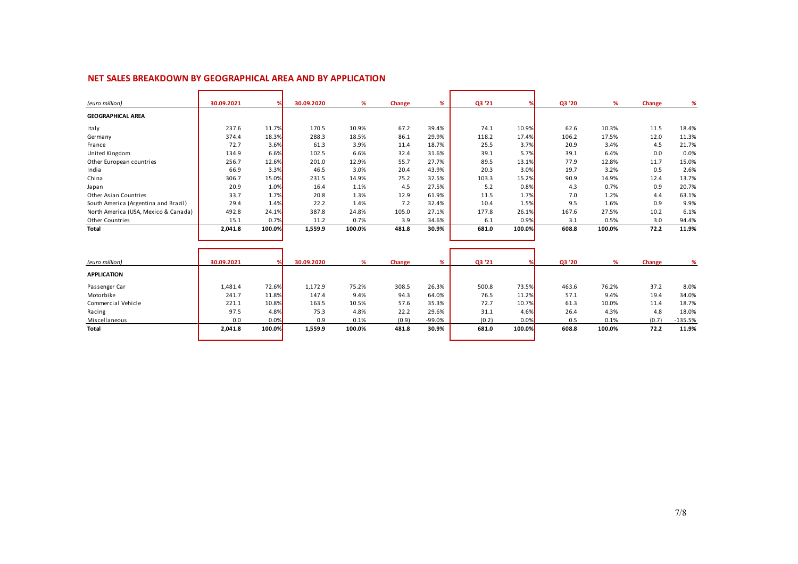| (euro million)                       | 30.09.2021 |        | 30.09.2020 | %      | Change | %     | Q3 '21 |        | Q3 '20 | %      | <b>Change</b> | %     |
|--------------------------------------|------------|--------|------------|--------|--------|-------|--------|--------|--------|--------|---------------|-------|
| <b>GEOGRAPHICAL AREA</b>             |            |        |            |        |        |       |        |        |        |        |               |       |
| Italy                                | 237.6      | 11.7%  | 170.5      | 10.9%  | 67.2   | 39.4% | 74.1   | 10.9%  | 62.6   | 10.3%  | 11.5          | 18.4% |
| Germany                              | 374.4      | 18.3%  | 288.3      | 18.5%  | 86.1   | 29.9% | 118.2  | 17.4%  | 106.2  | 17.5%  | 12.0          | 11.3% |
| France                               | 72.7       | 3.6%   | 61.3       | 3.9%   | 11.4   | 18.7% | 25.5   | 3.7%   | 20.9   | 3.4%   | 4.5           | 21.7% |
| United Kingdom                       | 134.9      | 6.6%   | 102.5      | 6.6%   | 32.4   | 31.6% | 39.1   | 5.7%   | 39.1   | 6.4%   | 0.0           | 0.0%  |
| Other European countries             | 256.7      | 12.6%  | 201.0      | 12.9%  | 55.7   | 27.7% | 89.5   | 13.1%  | 77.9   | 12.8%  | 11.7          | 15.0% |
| India                                | 66.9       | 3.3%   | 46.5       | 3.0%   | 20.4   | 43.9% | 20.3   | 3.0%   | 19.7   | 3.2%   | 0.5           | 2.6%  |
| China                                | 306.7      | 15.0%  | 231.5      | 14.9%  | 75.2   | 32.5% | 103.3  | 15.2%  | 90.9   | 14.9%  | 12.4          | 13.7% |
| Japan                                | 20.9       | 1.0%   | 16.4       | 1.1%   | 4.5    | 27.5% | 5.2    | 0.8%   | 4.3    | 0.7%   | 0.9           | 20.7% |
| Other Asian Countries                | 33.7       | 1.7%   | 20.8       | 1.3%   | 12.9   | 61.9% | 11.5   | 1.7%   | 7.0    | 1.2%   | 4.4           | 63.1% |
| South America (Argentina and Brazil) | 29.4       | 1.4%   | 22.2       | 1.4%   | 7.2    | 32.4% | 10.4   | 1.5%   | 9.5    | 1.6%   | 0.9           | 9.9%  |
| North America (USA, Mexico & Canada) | 492.8      | 24.1%  | 387.8      | 24.8%  | 105.0  | 27.1% | 177.8  | 26.1%  | 167.6  | 27.5%  | 10.2          | 6.1%  |
| <b>Other Countries</b>               | 15.1       | 0.7%   | 11.2       | 0.7%   | 3.9    | 34.6% | 6.1    | 0.9%   | 3.1    | 0.5%   | 3.0           | 94.4% |
| <b>Total</b>                         | 2,041.8    | 100.0% | 1,559.9    | 100.0% | 481.8  | 30.9% | 681.0  | 100.0% | 608.8  | 100.0% | 72.2          | 11.9% |
|                                      |            |        |            |        |        |       |        |        |        |        |               |       |

| 1,481.4 | 72.6%      | 1.172.9 | 75.2%      | 308.5 | 26.3%  | 500.8 | 73.5%  | 463.6 | 76.2%  | 37.2  | 8.0%      |
|---------|------------|---------|------------|-------|--------|-------|--------|-------|--------|-------|-----------|
| 241.7   | 11.8%      | 147.4   | 9.4%       | 94.3  | 64.0%  | 76.5  | 11.2%  | 57.1  | 9.4%   | 19.4  | 34.0%     |
| 221.1   | 10.8%      | 163.5   | 10.5%      | 57.6  | 35.3%  | 72.7  | 10.7%  | 61.3  | 10.0%  | 11.4  | 18.7%     |
| 97.5    | 4.8%       | 75.3    | 4.8%       | 22.2  | 29.6%  | 31.1  | 4.6%   | 26.4  | 4.3%   | 4.8   | 18.0%     |
| 0.0     | 0.0%       | 0.9     | 0.1%       | (0.9) | -99.0% | (0.2) | 0.0%   | 0.5   | 0.1%   | (0.7) | $-135.5%$ |
| 2,041.8 | 100.0%     | 1,559.9 | 100.0%     | 481.8 | 30.9%  | 681.0 | 100.0% | 608.8 | 100.0% | 72.2  | 11.9%     |
|         |            |         |            |       |        |       |        |       |        |       |           |
|         | 30.09.2021 |         | 30.09.2020 |       | Change | %     | Q3 '21 |       | Q3 '20 |       | Change    |